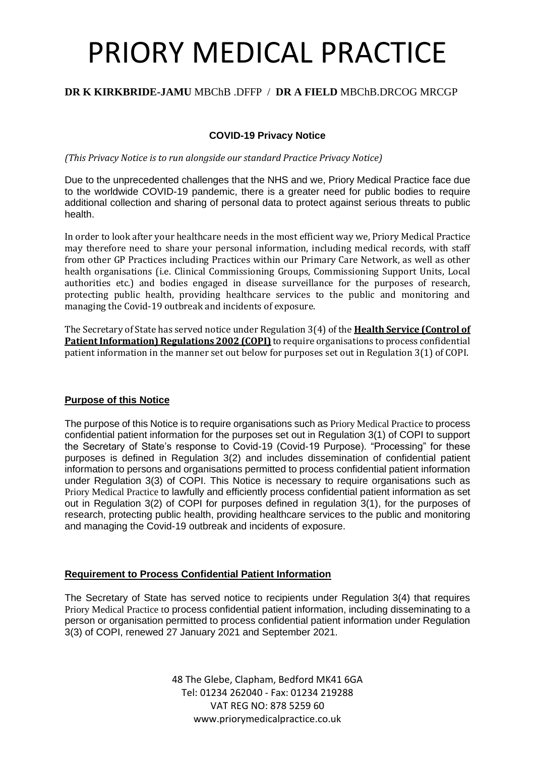#### **DR K KIRKBRIDE-JAMU** MBChB .DFFP / **DR A FIELD** MBChB.DRCOG MRCGP

#### **COVID-19 Privacy Notice**

*(This Privacy Notice is to run alongside our standard Practice Privacy Notice)*

Due to the unprecedented challenges that the NHS and we, Priory Medical Practice face due to the worldwide COVID-19 pandemic, there is a greater need for public bodies to require additional collection and sharing of personal data to protect against serious threats to public health.

In order to look after your healthcare needs in the most efficient way we, Priory Medical Practice may therefore need to share your personal information, including medical records, with staff from other GP Practices including Practices within our Primary Care Network, as well as other health organisations (i.e. Clinical Commissioning Groups, Commissioning Support Units, Local authorities etc.) and bodies engaged in disease surveillance for the purposes of research, protecting public health, providing healthcare services to the public and monitoring and managing the Covid-19 outbreak and incidents of exposure.

The Secretary of State has served notice under Regulation 3(4) of the **Health Service (Control of Patient Information) Regulations 2002 (COPI)** to require organisations to process confidential patient information in the manner set out below for purposes set out in Regulation 3(1) of COPI.

#### **Purpose of this Notice**

The purpose of this Notice is to require organisations such as Priory Medical Practice to process confidential patient information for the purposes set out in Regulation 3(1) of COPI to support the Secretary of State's response to Covid-19 (Covid-19 Purpose). "Processing" for these purposes is defined in Regulation 3(2) and includes dissemination of confidential patient information to persons and organisations permitted to process confidential patient information under Regulation 3(3) of COPI. This Notice is necessary to require organisations such as Priory Medical Practice to lawfully and efficiently process confidential patient information as set out in Regulation 3(2) of COPI for purposes defined in regulation 3(1), for the purposes of research, protecting public health, providing healthcare services to the public and monitoring and managing the Covid-19 outbreak and incidents of exposure.

#### **Requirement to Process Confidential Patient Information**

The Secretary of State has served notice to recipients under Regulation 3(4) that requires Priory Medical Practice to process confidential patient information, including disseminating to a person or organisation permitted to process confidential patient information under Regulation 3(3) of COPI, renewed 27 January 2021 and September 2021.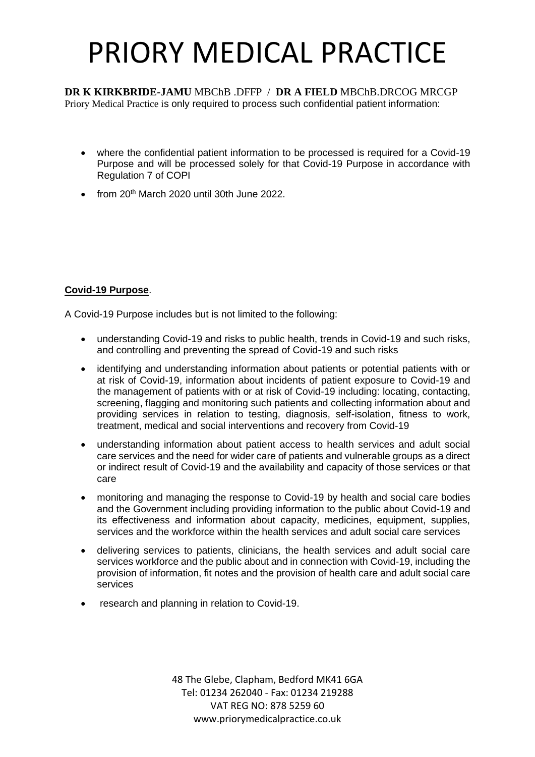**DR K KIRKBRIDE-JAMU** MBChB .DFFP / **DR A FIELD** MBChB.DRCOG MRCGP Priory Medical Practice is only required to process such confidential patient information:

- where the confidential patient information to be processed is required for a Covid-19 Purpose and will be processed solely for that Covid-19 Purpose in accordance with Regulation 7 of COPI
- from  $20<sup>th</sup>$  March 2020 until 30th June 2022.

### **Covid-19 Purpose**.

A Covid-19 Purpose includes but is not limited to the following:

- understanding Covid-19 and risks to public health, trends in Covid-19 and such risks, and controlling and preventing the spread of Covid-19 and such risks
- identifying and understanding information about patients or potential patients with or at risk of Covid-19, information about incidents of patient exposure to Covid-19 and the management of patients with or at risk of Covid-19 including: locating, contacting, screening, flagging and monitoring such patients and collecting information about and providing services in relation to testing, diagnosis, self-isolation, fitness to work, treatment, medical and social interventions and recovery from Covid-19
- understanding information about patient access to health services and adult social care services and the need for wider care of patients and vulnerable groups as a direct or indirect result of Covid-19 and the availability and capacity of those services or that care
- monitoring and managing the response to Covid-19 by health and social care bodies and the Government including providing information to the public about Covid-19 and its effectiveness and information about capacity, medicines, equipment, supplies, services and the workforce within the health services and adult social care services
- delivering services to patients, clinicians, the health services and adult social care services workforce and the public about and in connection with Covid-19, including the provision of information, fit notes and the provision of health care and adult social care services
- research and planning in relation to Covid-19.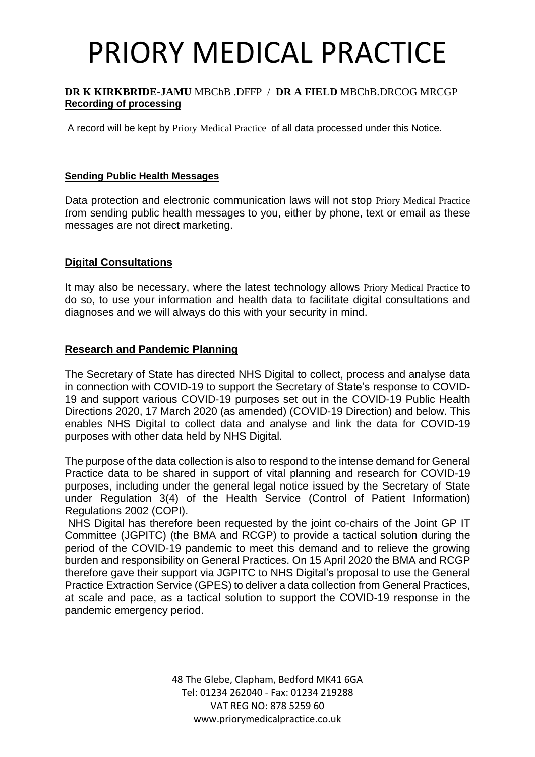#### **DR K KIRKBRIDE-JAMU** MBChB .DFFP / **DR A FIELD** MBChB.DRCOG MRCGP **Recording of processing**

A record will be kept by Priory Medical Practice of all data processed under this Notice.

#### **Sending Public Health Messages**

Data protection and electronic communication laws will not stop Priory Medical Practice from sending public health messages to you, either by phone, text or email as these messages are not direct marketing.

### **Digital Consultations**

It may also be necessary, where the latest technology allows Priory Medical Practice to do so, to use your information and health data to facilitate digital consultations and diagnoses and we will always do this with your security in mind.

### **Research and Pandemic Planning**

The Secretary of State has directed NHS Digital to collect, process and analyse data in connection with COVID-19 to support the Secretary of State's response to COVID-19 and support various COVID-19 purposes set out in the COVID-19 Public Health Directions 2020, 17 March 2020 (as amended) (COVID-19 Direction) and below. This enables NHS Digital to collect data and analyse and link the data for COVID-19 purposes with other data held by NHS Digital.

The purpose of the data collection is also to respond to the intense demand for General Practice data to be shared in support of vital planning and research for COVID-19 purposes, including under the general legal notice issued by the Secretary of State under Regulation 3(4) of the Health Service (Control of Patient Information) Regulations 2002 (COPI).

NHS Digital has therefore been requested by the joint co-chairs of the Joint GP IT Committee (JGPITC) (the BMA and RCGP) to provide a tactical solution during the period of the COVID-19 pandemic to meet this demand and to relieve the growing burden and responsibility on General Practices. On 15 April 2020 the BMA and RCGP therefore gave their support via JGPITC to NHS Digital's proposal to use the General Practice Extraction Service (GPES) to deliver a data collection from General Practices, at scale and pace, as a tactical solution to support the COVID-19 response in the pandemic emergency period.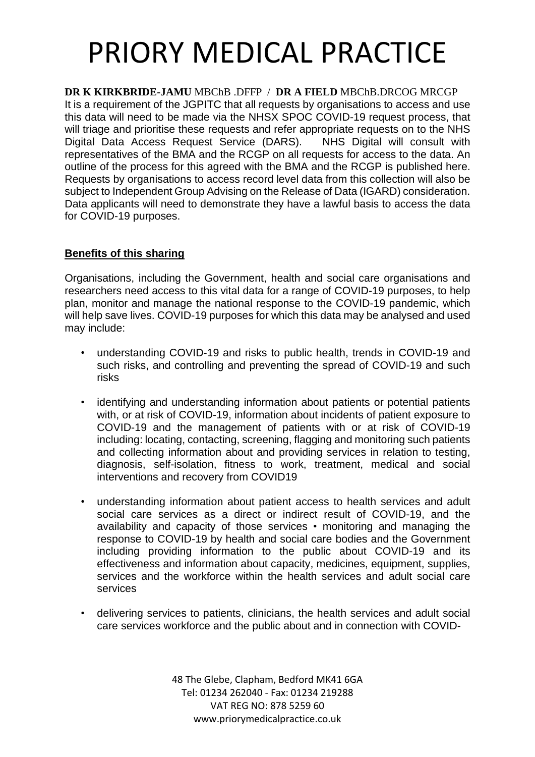**DR K KIRKBRIDE-JAMU** MBChB .DFFP / **DR A FIELD** MBChB.DRCOG MRCGP It is a requirement of the JGPITC that all requests by organisations to access and use this data will need to be made via the NHSX SPOC COVID-19 request process, that will triage and prioritise these requests and refer appropriate requests on to the NHS Digital Data Access Request Service (DARS). NHS Digital will consult with representatives of the BMA and the RCGP on all requests for access to the data. An outline of the process for this agreed with the BMA and the RCGP is published here. Requests by organisations to access record level data from this collection will also be subject to Independent Group Advising on the Release of Data (IGARD) consideration. Data applicants will need to demonstrate they have a lawful basis to access the data for COVID-19 purposes.

### **Benefits of this sharing**

Organisations, including the Government, health and social care organisations and researchers need access to this vital data for a range of COVID-19 purposes, to help plan, monitor and manage the national response to the COVID-19 pandemic, which will help save lives. COVID-19 purposes for which this data may be analysed and used may include:

- understanding COVID-19 and risks to public health, trends in COVID-19 and such risks, and controlling and preventing the spread of COVID-19 and such risks
- identifying and understanding information about patients or potential patients with, or at risk of COVID-19, information about incidents of patient exposure to COVID-19 and the management of patients with or at risk of COVID-19 including: locating, contacting, screening, flagging and monitoring such patients and collecting information about and providing services in relation to testing, diagnosis, self-isolation, fitness to work, treatment, medical and social interventions and recovery from COVID19
- understanding information about patient access to health services and adult social care services as a direct or indirect result of COVID-19, and the availability and capacity of those services • monitoring and managing the response to COVID-19 by health and social care bodies and the Government including providing information to the public about COVID-19 and its effectiveness and information about capacity, medicines, equipment, supplies, services and the workforce within the health services and adult social care services
- delivering services to patients, clinicians, the health services and adult social care services workforce and the public about and in connection with COVID-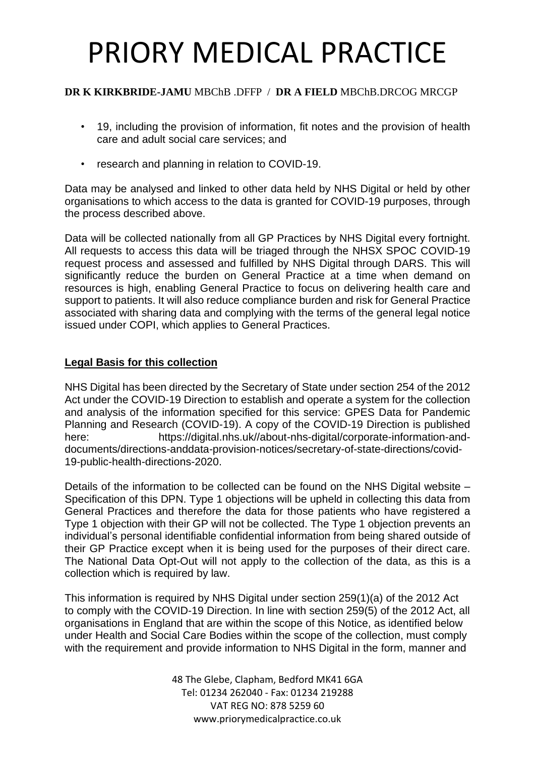### **DR K KIRKBRIDE-JAMU** MBChB .DFFP / **DR A FIELD** MBChB.DRCOG MRCGP

- 19, including the provision of information, fit notes and the provision of health care and adult social care services; and
- research and planning in relation to COVID-19.

Data may be analysed and linked to other data held by NHS Digital or held by other organisations to which access to the data is granted for COVID-19 purposes, through the process described above.

Data will be collected nationally from all GP Practices by NHS Digital every fortnight. All requests to access this data will be triaged through the NHSX SPOC COVID-19 request process and assessed and fulfilled by NHS Digital through DARS. This will significantly reduce the burden on General Practice at a time when demand on resources is high, enabling General Practice to focus on delivering health care and support to patients. It will also reduce compliance burden and risk for General Practice associated with sharing data and complying with the terms of the general legal notice issued under COPI, which applies to General Practices.

### **Legal Basis for this collection**

NHS Digital has been directed by the Secretary of State under section 254 of the 2012 Act under the COVID-19 Direction to establish and operate a system for the collection and analysis of the information specified for this service: GPES Data for Pandemic Planning and Research (COVID-19). A copy of the COVID-19 Direction is published here: https://digital.nhs.uk//about-nhs-digital/corporate-information-anddocuments/directions-anddata-provision-notices/secretary-of-state-directions/covid-19-public-health-directions-2020.

Details of the information to be collected can be found on the NHS Digital website – Specification of this DPN. Type 1 objections will be upheld in collecting this data from General Practices and therefore the data for those patients who have registered a Type 1 objection with their GP will not be collected. The Type 1 objection prevents an individual's personal identifiable confidential information from being shared outside of their GP Practice except when it is being used for the purposes of their direct care. The National Data Opt-Out will not apply to the collection of the data, as this is a collection which is required by law.

This information is required by NHS Digital under section 259(1)(a) of the 2012 Act to comply with the COVID-19 Direction. In line with section 259(5) of the 2012 Act, all organisations in England that are within the scope of this Notice, as identified below under Health and Social Care Bodies within the scope of the collection, must comply with the requirement and provide information to NHS Digital in the form, manner and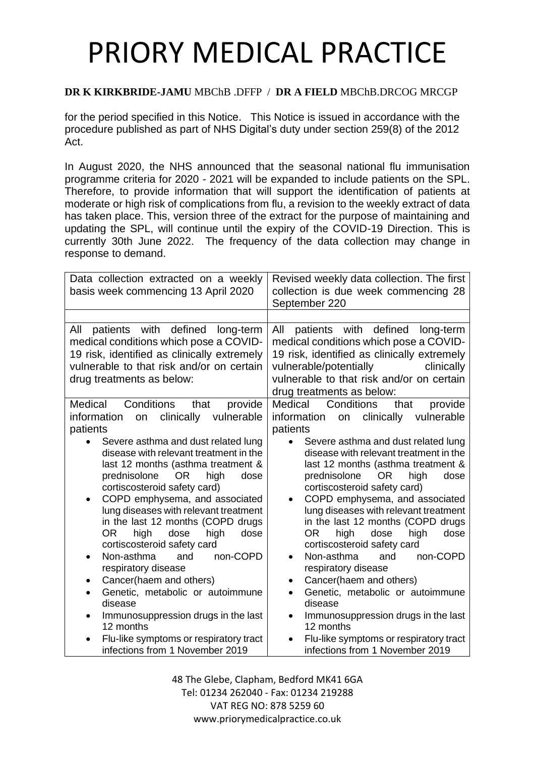### **DR K KIRKBRIDE-JAMU** MBChB .DFFP / **DR A FIELD** MBChB.DRCOG MRCGP

for the period specified in this Notice. This Notice is issued in accordance with the procedure published as part of NHS Digital's duty under section 259(8) of the 2012 Act.

In August 2020, the NHS announced that the seasonal national flu immunisation programme criteria for 2020 - 2021 will be expanded to include patients on the SPL. Therefore, to provide information that will support the identification of patients at moderate or high risk of complications from flu, a revision to the weekly extract of data has taken place. This, version three of the extract for the purpose of maintaining and updating the SPL, will continue until the expiry of the COVID-19 Direction. This is currently 30th June 2022. The frequency of the data collection may change in response to demand.

| Data collection extracted on a weekly<br>basis week commencing 13 April 2020                                                                                                                                                                                                                                                                                                                                                                                                                                                                                                                                                                                                                                                                                                                             | Revised weekly data collection. The first<br>collection is due week commencing 28<br>September 220                                                                                                                                                                                                                                                                                                                                                                                                                                                                                                                                                                                                                                                                                                                                  |
|----------------------------------------------------------------------------------------------------------------------------------------------------------------------------------------------------------------------------------------------------------------------------------------------------------------------------------------------------------------------------------------------------------------------------------------------------------------------------------------------------------------------------------------------------------------------------------------------------------------------------------------------------------------------------------------------------------------------------------------------------------------------------------------------------------|-------------------------------------------------------------------------------------------------------------------------------------------------------------------------------------------------------------------------------------------------------------------------------------------------------------------------------------------------------------------------------------------------------------------------------------------------------------------------------------------------------------------------------------------------------------------------------------------------------------------------------------------------------------------------------------------------------------------------------------------------------------------------------------------------------------------------------------|
| patients with defined<br>All<br>long-term<br>medical conditions which pose a COVID-<br>19 risk, identified as clinically extremely<br>vulnerable to that risk and/or on certain<br>drug treatments as below:                                                                                                                                                                                                                                                                                                                                                                                                                                                                                                                                                                                             | patients with defined<br>All<br>long-term<br>medical conditions which pose a COVID-<br>19 risk, identified as clinically extremely<br>vulnerable/potentially<br>clinically<br>vulnerable to that risk and/or on certain<br>drug treatments as below:                                                                                                                                                                                                                                                                                                                                                                                                                                                                                                                                                                                |
| Medical<br>Conditions<br>that<br>provide<br>clinically<br>vulnerable<br>information<br>on<br>patients<br>Severe asthma and dust related lung<br>disease with relevant treatment in the<br>last 12 months (asthma treatment &<br>prednisolone<br><b>OR</b><br>high<br>dose<br>cortiscosteroid safety card)<br>COPD emphysema, and associated<br>lung diseases with relevant treatment<br>in the last 12 months (COPD drugs<br>OR <sub>1</sub><br>high<br>high<br>dose<br>dose<br>cortiscosteroid safety card<br>and<br>non-COPD<br>Non-asthma<br>$\bullet$<br>respiratory disease<br>Cancer(haem and others)<br>$\bullet$<br>Genetic, metabolic or autoimmune<br>disease<br>Immunosuppression drugs in the last<br>12 months<br>Flu-like symptoms or respiratory tract<br>infections from 1 November 2019 | Medical<br>Conditions<br>that<br>provide<br>clinically<br>information<br>vulnerable<br>on<br>patients<br>Severe asthma and dust related lung<br>disease with relevant treatment in the<br>last 12 months (asthma treatment &<br>prednisolone<br>high<br>OR.<br>dose<br>cortiscosteroid safety card)<br>COPD emphysema, and associated<br>lung diseases with relevant treatment<br>in the last 12 months (COPD drugs<br><b>OR</b><br>high<br>high<br>dose<br>dose<br>cortiscosteroid safety card<br>Non-asthma<br>and<br>non-COPD<br>$\bullet$<br>respiratory disease<br>Cancer(haem and others)<br>$\bullet$<br>Genetic, metabolic or autoimmune<br>$\bullet$<br>disease<br>Immunosuppression drugs in the last<br>$\bullet$<br>12 months<br>Flu-like symptoms or respiratory tract<br>$\bullet$<br>infections from 1 November 2019 |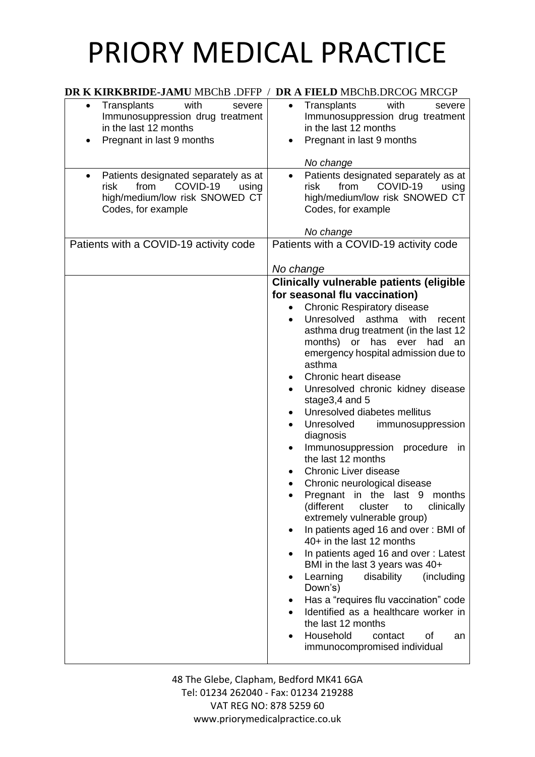| DR K KIRKBRIDE-JAMU MBChB .DFFP / DR A FIELD MBChB.DRCOG MRCGP                                                                                 |                                                                                                                                                                                                                                                                                                                                                                                                                                                                                                                                                                                                                                                                                                                   |
|------------------------------------------------------------------------------------------------------------------------------------------------|-------------------------------------------------------------------------------------------------------------------------------------------------------------------------------------------------------------------------------------------------------------------------------------------------------------------------------------------------------------------------------------------------------------------------------------------------------------------------------------------------------------------------------------------------------------------------------------------------------------------------------------------------------------------------------------------------------------------|
| Transplants<br>with<br>severe<br>$\bullet$<br>Immunosuppression drug treatment<br>in the last 12 months<br>Pregnant in last 9 months           | Transplants<br>with<br>$\bullet$<br>severe<br>Immunosuppression drug treatment<br>in the last 12 months<br>Pregnant in last 9 months<br>No change                                                                                                                                                                                                                                                                                                                                                                                                                                                                                                                                                                 |
| Patients designated separately as at<br>$\bullet$<br>COVID-19<br>risk<br>from<br>using<br>high/medium/low risk SNOWED CT<br>Codes, for example | Patients designated separately as at<br>$\bullet$<br>from<br>COVID-19<br>risk<br>using<br>high/medium/low risk SNOWED CT<br>Codes, for example<br>No change                                                                                                                                                                                                                                                                                                                                                                                                                                                                                                                                                       |
| Patients with a COVID-19 activity code                                                                                                         | Patients with a COVID-19 activity code                                                                                                                                                                                                                                                                                                                                                                                                                                                                                                                                                                                                                                                                            |
|                                                                                                                                                | No change                                                                                                                                                                                                                                                                                                                                                                                                                                                                                                                                                                                                                                                                                                         |
|                                                                                                                                                | for seasonal flu vaccination)<br><b>Chronic Respiratory disease</b><br>Unresolved<br>asthma with<br>recent<br>$\bullet$<br>asthma drug treatment (in the last 12<br>months) or has ever<br>had an<br>emergency hospital admission due to<br>asthma<br>Chronic heart disease<br>Unresolved chronic kidney disease<br>$\bullet$<br>stage3,4 and 5<br>Unresolved diabetes mellitus<br>Unresolved<br>immunosuppression<br>diagnosis<br>Immunosuppression<br>procedure<br>in<br>the last 12 months<br>Chronic Liver disease<br>Chronic neurological disease<br>Pregnant in the<br>last 9<br>months<br>(different<br>cluster<br>to<br>clinically<br>extremely vulnerable group)<br>In patients aged 16 and over: BMI of |
|                                                                                                                                                | 40+ in the last 12 months<br>In patients aged 16 and over: Latest<br>BMI in the last 3 years was 40+<br>Learning<br>disability<br>(including<br>Down's)<br>Has a "requires flu vaccination" code<br>Identified as a healthcare worker in<br>the last 12 months<br>Household<br>contact<br>οf<br>an<br>immunocompromised individual                                                                                                                                                                                                                                                                                                                                                                                |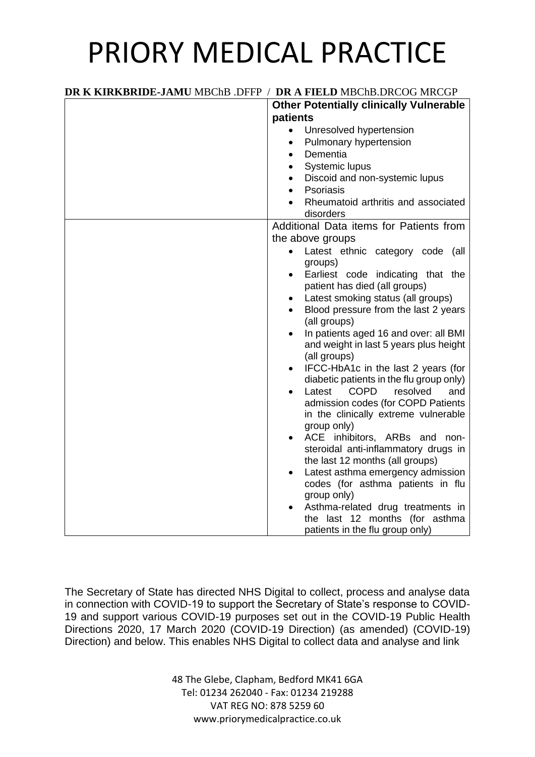| DR K KIRKBRIDE-JAMU MBChB .DFFP / DR A FIELD MBChB.DRCOG MRCGP |                                                                                 |
|----------------------------------------------------------------|---------------------------------------------------------------------------------|
|                                                                | <b>Other Potentially clinically Vulnerable</b>                                  |
|                                                                | patients                                                                        |
|                                                                | Unresolved hypertension                                                         |
|                                                                | Pulmonary hypertension                                                          |
|                                                                | Dementia                                                                        |
|                                                                | Systemic lupus                                                                  |
|                                                                | Discoid and non-systemic lupus                                                  |
|                                                                | Psoriasis                                                                       |
|                                                                | Rheumatoid arthritis and associated<br>disorders                                |
|                                                                | Additional Data items for Patients from                                         |
|                                                                | the above groups                                                                |
|                                                                | Latest ethnic category code (all<br>$\bullet$                                   |
|                                                                | groups)                                                                         |
|                                                                | Earliest code indicating that the                                               |
|                                                                | patient has died (all groups)                                                   |
|                                                                | Latest smoking status (all groups)                                              |
|                                                                | Blood pressure from the last 2 years                                            |
|                                                                | (all groups)                                                                    |
|                                                                | In patients aged 16 and over: all BMI                                           |
|                                                                | and weight in last 5 years plus height                                          |
|                                                                | (all groups)                                                                    |
|                                                                | IFCC-HbA1c in the last 2 years (for<br>diabetic patients in the flu group only) |
|                                                                | Latest COPD<br>resolved<br>and                                                  |
|                                                                | admission codes (for COPD Patients                                              |
|                                                                | in the clinically extreme vulnerable                                            |
|                                                                | group only)                                                                     |
|                                                                | ACE inhibitors, ARBs and non-                                                   |
|                                                                | steroidal anti-inflammatory drugs in                                            |
|                                                                | the last 12 months (all groups)                                                 |
|                                                                | Latest asthma emergency admission                                               |
|                                                                | codes (for asthma patients in flu                                               |
|                                                                | group only)                                                                     |
|                                                                | Asthma-related drug treatments in                                               |
|                                                                | the last 12 months (for asthma                                                  |
|                                                                | patients in the flu group only)                                                 |

The Secretary of State has directed NHS Digital to collect, process and analyse data in connection with COVID-19 to support the Secretary of State's response to COVID-19 and support various COVID-19 purposes set out in the COVID-19 Public Health Directions 2020, 17 March 2020 (COVID-19 Direction) (as amended) (COVID-19) Direction) and below. This enables NHS Digital to collect data and analyse and link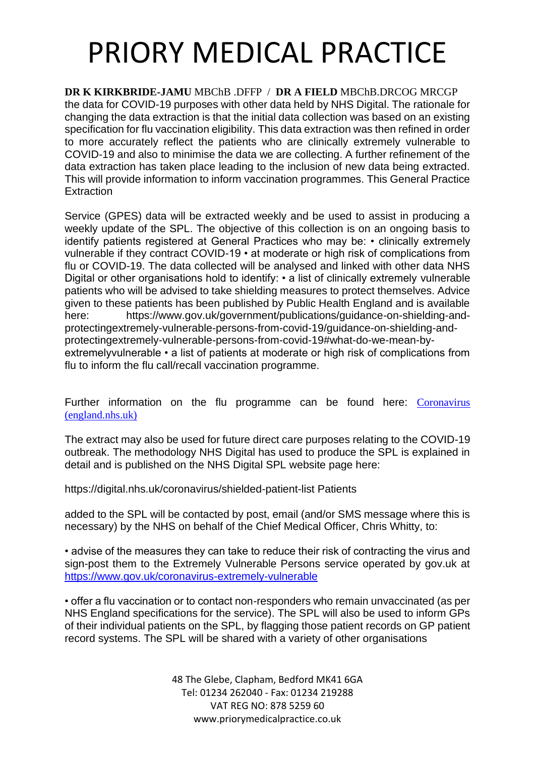**DR K KIRKBRIDE-JAMU** MBChB .DFFP / **DR A FIELD** MBChB.DRCOG MRCGP the data for COVID-19 purposes with other data held by NHS Digital. The rationale for changing the data extraction is that the initial data collection was based on an existing specification for flu vaccination eligibility. This data extraction was then refined in order to more accurately reflect the patients who are clinically extremely vulnerable to COVID-19 and also to minimise the data we are collecting. A further refinement of the data extraction has taken place leading to the inclusion of new data being extracted. This will provide information to inform vaccination programmes. This General Practice **Extraction** 

Service (GPES) data will be extracted weekly and be used to assist in producing a weekly update of the SPL. The objective of this collection is on an ongoing basis to identify patients registered at General Practices who may be: • clinically extremely vulnerable if they contract COVID-19 • at moderate or high risk of complications from flu or COVID-19. The data collected will be analysed and linked with other data NHS Digital or other organisations hold to identify: • a list of clinically extremely vulnerable patients who will be advised to take shielding measures to protect themselves. Advice given to these patients has been published by Public Health England and is available here: https://www.gov.uk/government/publications/guidance-on-shielding-andprotectingextremely-vulnerable-persons-from-covid-19/guidance-on-shielding-andprotectingextremely-vulnerable-persons-from-covid-19#what-do-we-mean-byextremelyvulnerable • a list of patients at moderate or high risk of complications from flu to inform the flu call/recall vaccination programme.

Further information on the flu programme can be found here: Coronavirus [\(england.nhs.uk\)](https://www.england.nhs.uk/coronavirus/)

The extract may also be used for future direct care purposes relating to the COVID-19 outbreak. The methodology NHS Digital has used to produce the SPL is explained in detail and is published on the NHS Digital SPL website page here:

https://digital.nhs.uk/coronavirus/shielded-patient-list Patients

added to the SPL will be contacted by post, email (and/or SMS message where this is necessary) by the NHS on behalf of the Chief Medical Officer, Chris Whitty, to:

• advise of the measures they can take to reduce their risk of contracting the virus and sign-post them to the Extremely Vulnerable Persons service operated by gov.uk at <https://www.gov.uk/coronavirus-extremely-vulnerable>

• offer a flu vaccination or to contact non-responders who remain unvaccinated (as per NHS England specifications for the service). The SPL will also be used to inform GPs of their individual patients on the SPL, by flagging those patient records on GP patient record systems. The SPL will be shared with a variety of other organisations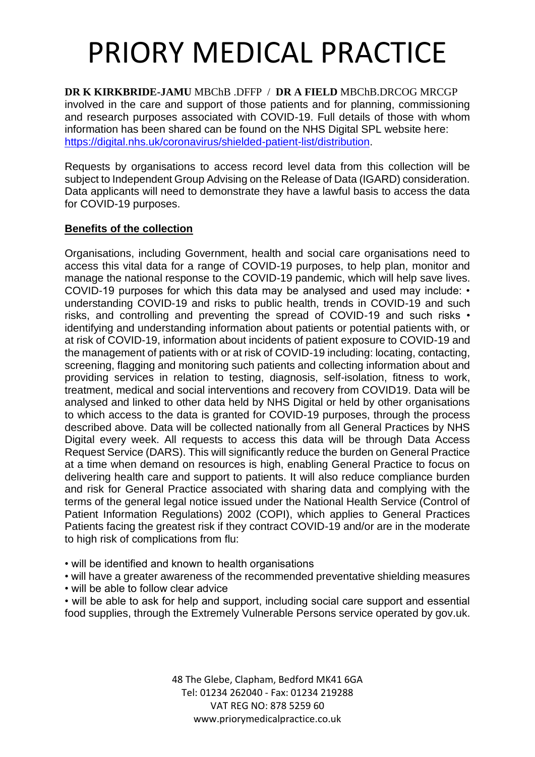**DR K KIRKBRIDE-JAMU** MBChB .DFFP / **DR A FIELD** MBChB.DRCOG MRCGP involved in the care and support of those patients and for planning, commissioning and research purposes associated with COVID-19. Full details of those with whom information has been shared can be found on the NHS Digital SPL website here: [https://digital.nhs.uk/coronavirus/shielded-patient-list/distribution.](https://digital.nhs.uk/coronavirus/shielded-patient-list/distribution)

Requests by organisations to access record level data from this collection will be subject to Independent Group Advising on the Release of Data (IGARD) consideration. Data applicants will need to demonstrate they have a lawful basis to access the data for COVID-19 purposes.

### **Benefits of the collection**

Organisations, including Government, health and social care organisations need to access this vital data for a range of COVID-19 purposes, to help plan, monitor and manage the national response to the COVID-19 pandemic, which will help save lives. COVID-19 purposes for which this data may be analysed and used may include: • understanding COVID-19 and risks to public health, trends in COVID-19 and such risks, and controlling and preventing the spread of COVID-19 and such risks • identifying and understanding information about patients or potential patients with, or at risk of COVID-19, information about incidents of patient exposure to COVID-19 and the management of patients with or at risk of COVID-19 including: locating, contacting, screening, flagging and monitoring such patients and collecting information about and providing services in relation to testing, diagnosis, self-isolation, fitness to work, treatment, medical and social interventions and recovery from COVID19. Data will be analysed and linked to other data held by NHS Digital or held by other organisations to which access to the data is granted for COVID-19 purposes, through the process described above. Data will be collected nationally from all General Practices by NHS Digital every week. All requests to access this data will be through Data Access Request Service (DARS). This will significantly reduce the burden on General Practice at a time when demand on resources is high, enabling General Practice to focus on delivering health care and support to patients. It will also reduce compliance burden and risk for General Practice associated with sharing data and complying with the terms of the general legal notice issued under the National Health Service (Control of Patient Information Regulations) 2002 (COPI), which applies to General Practices Patients facing the greatest risk if they contract COVID-19 and/or are in the moderate to high risk of complications from flu:

- will be identified and known to health organisations
- will have a greater awareness of the recommended preventative shielding measures
- will be able to follow clear advice

• will be able to ask for help and support, including social care support and essential food supplies, through the Extremely Vulnerable Persons service operated by gov.uk.